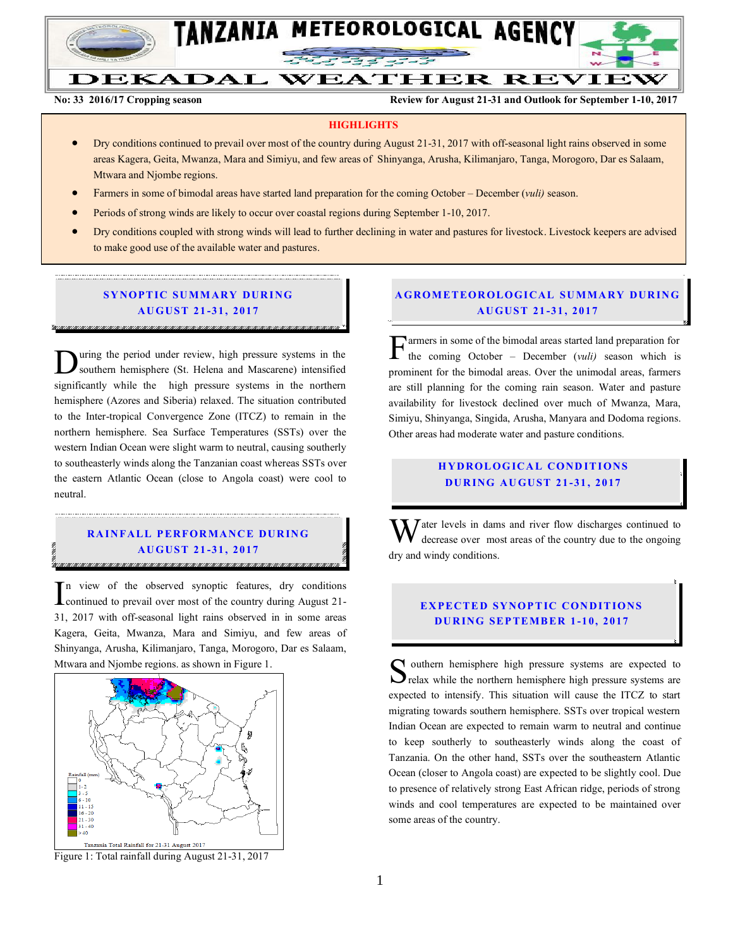

# DEKADAL WEATHER REVIEW

**No: 33 2016/17 Cropping season Review for August 21-31 and Outlook for September 1-10, 2017**

#### **HIGHLIGHTS**

- Dry conditions continued to prevail over most of the country during August 21-31, 2017 with off-seasonal light rains observed in some areas Kagera, Geita, Mwanza, Mara and Simiyu, and few areas of Shinyanga, Arusha, Kilimanjaro, Tanga, Morogoro, Dar es Salaam, Mtwara and Njombe regions.
- Farmers in some of bimodal areas have started land preparation for the coming October December (*vuli)* season.
- **•** Periods of strong winds are likely to occur over coastal regions during September 1-10, 2017.
- Dry conditions coupled with strong winds will lead to further declining in water and pastures for livestock. Livestock keepers are advised to make good use of the available water and pastures.

#### **SYNOPTIC SUMMARY DURING AU GUST 21 -31 , 2017**

uring the period under review, high pressure systems in the southern hemisphere (St. Helena and Mascarene) intensified significantly while the high pressure systems in the northern hemisphere (Azores and Siberia) relaxed. The situation contributed to the Inter-tropical Convergence Zone (ITCZ) to remain in the northern hemisphere. Sea Surface Temperatures (SSTs) over the western Indian Ocean were slight warm to neutral, causing southerly to southeasterly winds along the Tanzanian coast whereas SSTs over the eastern Atlantic Ocean (close to Angola coast) were cool to neutral. D

### **RAINFALL PERFORMANCE DURING AU GUST 21 -31 , 2017**

n view of the observed synoptic features, dry conditions  $\prod_{\text{continued}}$  to the observed synoptic features, dry conditions<br>
continued to prevail over most of the country during August 21-31, 2017 with off-seasonal light rains observed in in some areas Kagera, Geita, Mwanza, Mara and Simiyu, and few areas of Shinyanga, Arusha, Kilimanjaro, Tanga, Morogoro, Dar es Salaam, Mtwara and Njombe regions. as shown in Figure 1.



Figure 1: Total rainfall during August 21-31, 2017

#### **A GROM ETEOR OLO GICAL SU MMA RY DUR IN G AU GUST 21 -31 , 2017**

armers in some of the bimodal areas started land preparation for the coming October – December (*vuli)* season which is prominent for the bimodal areas. Over the unimodal areas, farmers are still planning for the coming rain season. Water and pasture availability for livestock declined over much of Mwanza, Mara, Simiyu, Shinyanga, Singida, Arusha, Manyara and Dodoma regions. Other areas had moderate water and pasture conditions. F

#### **HYDROLOGICAL CONDITIONS DU R ING AU GUST 21 -31 , 2017**

 $\bf{W}$  ater levels in dams and river flow discharges continued to decrease over most areas of the country due to the ongoing decrease over most areas of the country due to the ongoing dry and windy conditions.

#### **EXPECTED SYNOPTIC CONDITIONS DU R ING SEP TEMB ER 1 -1 0, 2017**

Southern hemisphere high pressure systems are expected to relax while the northern hemisphere high pressure systems are  $\sum$  relax while the northern hemisphere high pressure systems are expected to intensify. This situation will cause the ITCZ to start migrating towards southern hemisphere. SSTs over tropical western Indian Ocean are expected to remain warm to neutral and continue to keep southerly to southeasterly winds along the coast of Tanzania. On the other hand, SSTs over the southeastern Atlantic Ocean (closer to Angola coast) are expected to be slightly cool. Due to presence of relatively strong East African ridge, periods of strong winds and cool temperatures are expected to be maintained over some areas of the country.